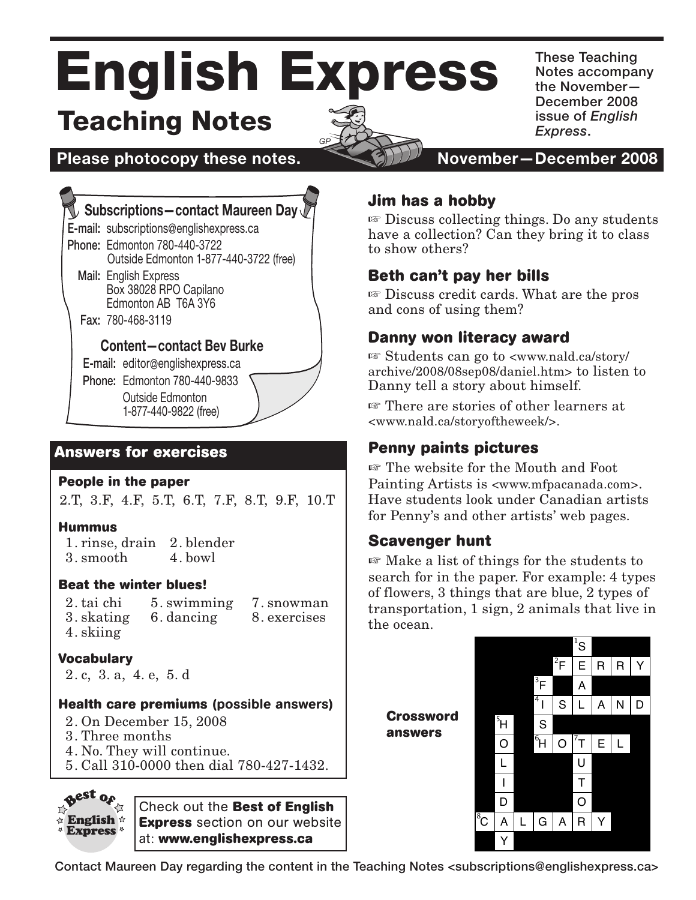# English Express Teaching Notes

*GP*



These Teaching Notes accompany the November— December 2008 issue of *English Express*.

**Please photocopy these notes.**  $\sim$  **8000 November–December 2008** 

# **Subscriptions—contact Maureen Day**

E-mail: subscriptions@englishexpress.ca Phone: Edmonton 780-440-3722

Outside Edmonton 1-877-440-3722 (free)

Mail: English Express Box 38028 RPO Capilano Edmonton AB T6A 3Y6

Fax: 780-468-3119

### **Content—contact Bev Burke**

E-mail: editor@englishexpress.ca

Phone: Edmonton 780-440-9833

 Outside Edmonton 1-877-440-9822 (free)

# **Answers for exercises**

#### **People in the paper**

2.T, 3.F, 4.F, 5.T, 6.T, 7.F, 8.T, 9.F, 10.T

#### **Hummus**

1. rinse, drain 2. blender 3. smooth 4. bowl

#### **Beat the winter blues!**

2. tai chi 3. skating 4. skiing 7. snowman 8. exercises 5. swimming 6. dancing

### **Vocabulary**

2. c, 3. a, 4. e, 5. d

#### **Health care premiums** (possible answers)

- 2. On December 15, 2008
- 3. Three months
- 4. No. They will continue.
- 5. Call 310-0000 then dial 780-427-1432.



Check out the **Best of English Express** section on our website at: **www.englishexpress.ca**

# **Jim has a hobby**

 $\mathbb F$  Discuss collecting things. Do any students have a collection? Can they bring it to class to show others?

# **Beth can't pay her bills**

 $\mathbb F$  Discuss credit cards. What are the pros and cons of using them?

# **Danny won literacy award**

 $\mathbb{F}$  Students can go to  $\langle$ www.nald.ca/story/ archive/2008/08sep08/daniel.htm> to listen to Danny tell a story about himself.

**Example 13** There are stories of other learners at <www.nald.ca/storyoftheweek/>.

# **Penny paints pictures**

**Example 13** The website for the Mouth and Foot Painting Artists is <www.mfpacanada.com>. Have students look under Canadian artists for Penny's and other artists' web pages.

## **Scavenger hunt**

search for in the paper. For example:  $4$  types of flamers  $2$  things that are blue  $2$  types of  $\mathbb{F}$  Make a list of things for the students to of flowers, 3 things that are blue, 2 types of transportation, 1 sign, 2 animals that live in the ocean.

**Crossword answers**



Contact Maureen Day regarding the content in the Teaching Notes <subscriptions@englishexpress.ca> 1. XX [SEAL]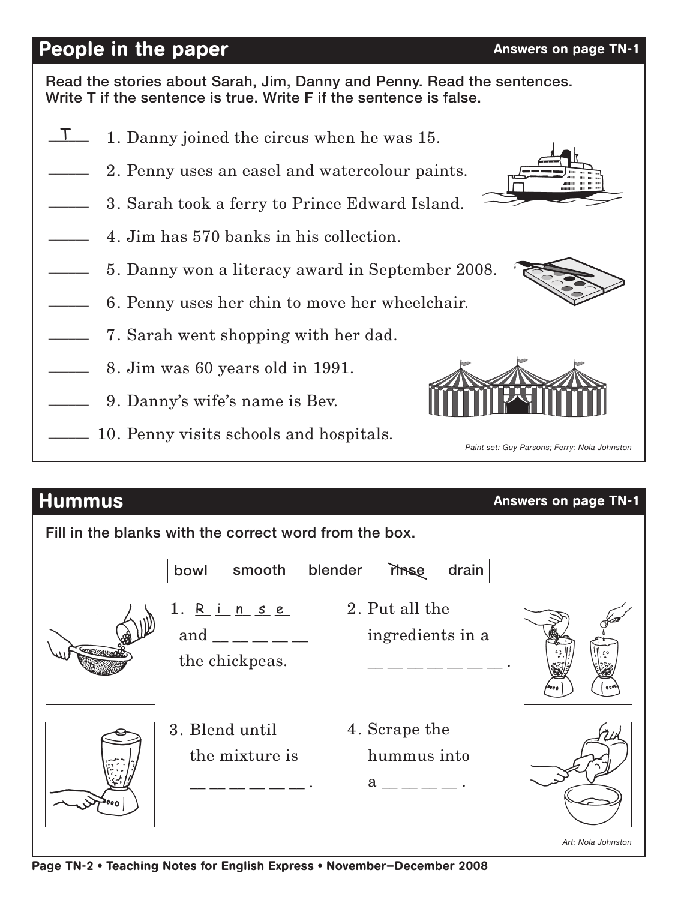# People in the paper Answers on page TN-1

Read the stories about Sarah, Jim, Danny and Penny. Read the sentences. Write **T** if the sentence is true. Write **F** if the sentence is false.

- 1. Danny joined the circus when he was 15.  $\frac{1}{\sqrt{2}}$
- 2. Penny uses an easel and watercolour paints.  $\overline{\phantom{a}}$
- 3. Sarah took a ferry to Prince Edward Island.  $\overline{\phantom{a}}$
- 4. Jim has 570 banks in his collection.  $\overline{\phantom{a}}$
- 5. Danny won a literacy award in September 2008.  $\overline{\phantom{a}}$
- 6. Penny uses her chin to move her wheelchair.  $\overline{\phantom{a}}$
- 7. Sarah went shopping with her dad.  $\overline{\phantom{a}}$
- 8. Jim was 60 years old in 1991.  $\overline{\phantom{a}}$
- 9. Danny's wife's name is Bev.  $\overline{\phantom{a}}$
- 10. Penny visits schools and hospitals.  $\overline{\phantom{a}}$

# **Hummus Answers on page TN-1**

Fill in the blanks with the correct word from the box.

|        | smooth<br>bowl                                                                | blender<br>rinse                             | drain |  |
|--------|-------------------------------------------------------------------------------|----------------------------------------------|-------|--|
| Common | 1. R i n s e<br>and $\_\_\_\_\_\_\_\_\_\_\_\_\$<br>the chickpeas.             | 2. Put all the<br>ingredients in a           |       |  |
|        | 3. Blend until<br>the mixture is<br><u> 1999 - Andrea Andrew Alexandro II</u> | 4. Scrape the<br>hummus into<br>$a_{-}$ $ -$ |       |  |

*Art: Nola Johnston*







 *Paint set: Guy Parsons; Ferry: Nola Johnston*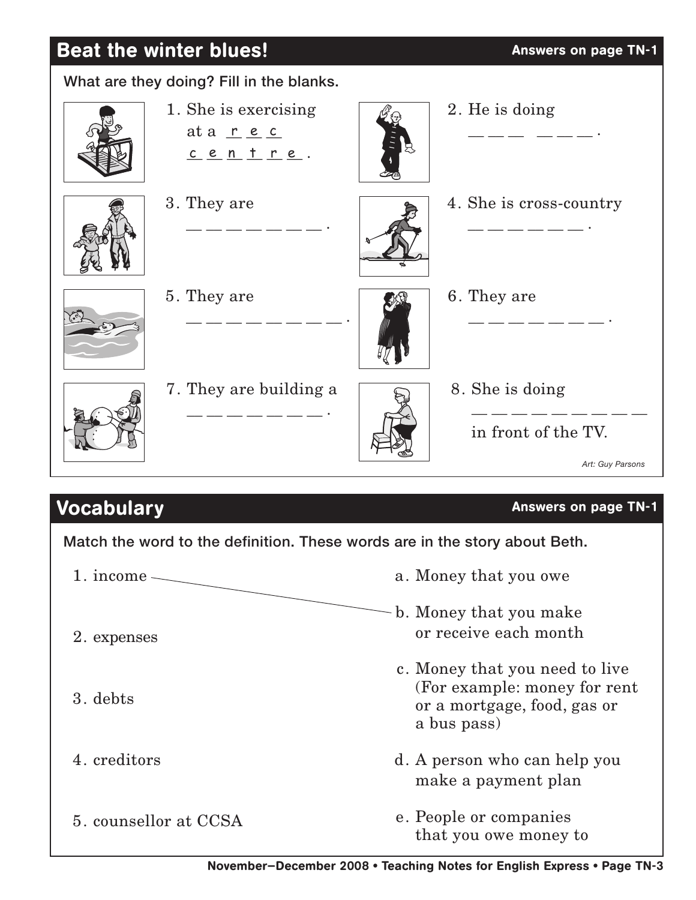# Beat the winter blues! Answers on page TN-1



Match the word to the definition. These words are in the story about Beth.

a. Money that you owe b. Money that you make or receive each month c. Money that you need to live (For example: money for rent or a mortgage, food, gas or a bus pass) d. A person who can help you make a payment plan e. People or companies that you owe money to 1. income $\sim$ 2. expenses 3. debts 4. creditors 5. counsellor at CCSA